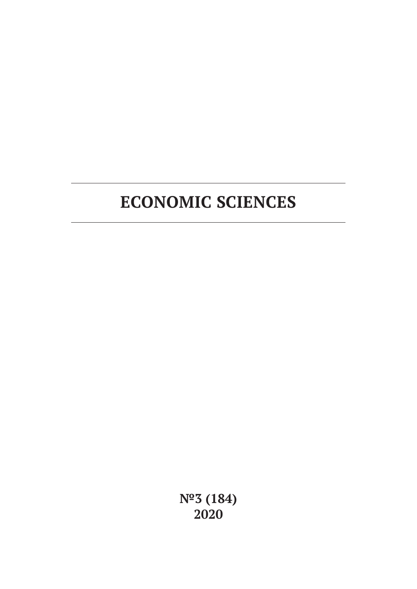# **ECONOMIC SCIENCES**

**№3 (184) 2020**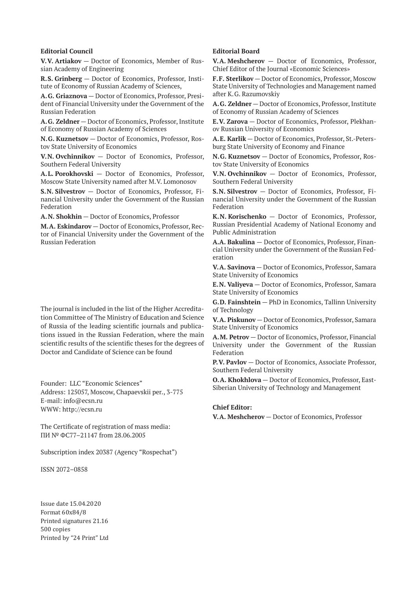#### **Editorial Council**

**V.V. Artiakov** — Doctor of Economics, Member of Russian Academy of Engineering

**R.S. Grinberg** — Doctor of Economics, Professor, Institute of Economy of Russian Academy of Sciences,

**A.G. Griaznova** — Doctor of Economics, Professor, President of Financial University under the Government of the Russian Federation

**A.G. Zeldner** — Doctor of Economics, Professor, Institute of Economy of Russian Academy of Sciences

**N.G. Kuznetsov** — Doctor of Economics, Professor, Rostov State University of Economics

**V.N. Ovchinnikov** — Doctor of Economics, Professor, Southern Federal University

**A.L. Porokhovski** — Doctor of Economics, Professor, Moscow State University named after M.V. Lomonosov

**S.N. Silvestrov** — Doctor of Economics, Professor, Financial University under the Government of the Russian Federation

**A.N. Shokhin** — Doctor of Economics, Professor

**M.A. Eskindarov** — Doctor of Economics, Professor, Rector of Financial University under the Government of the Russian Federation

The journal is included in the list of the Higher Accreditation Committee of The Ministry of Education and Science of Russia of the leading scientific journals and publications issued in the Russian Federation, where the main scientific results of the scientific theses for the degrees of Doctor and Candidate of Science can be found

Founder: LLC "Economic Sciences" Address: 125057, Moscow, Chapaevskii per., 3-775 E-mail: info@ecsn.ru WWW: http://ecsn.ru

The Certificate of registration of mass media: ПИ № ФС77–21147 from 28.06.2005

Subscription index 20387 (Agency "Rospechat")

ISSN 2072–0858

Issue date 15.04.2020 Format 60х84/8 Printed signatures 21.16 500 copies Printed by "24 Print" Ltd

## **Editorial Board**

**V.A. Meshcherov** — Doctor of Economics, Professor, Chief Editor of the Journal «Economic Sciences»

**F.F. Sterlikov** — Doctor of Economics, Professor, Moscow State University of Technologies and Management named after K.G. Razumovskiy

**A.G. Zeldner** — Doctor of Economics, Professor, Institute of Economy of Russian Academy of Sciences

**E.V. Zarova** — Doctor of Economics, Professor, Plekhanov Russian University of Economics

**A.E. Karlik** — Doctor of Economics, Professor, St.-Petersburg State University of Economy and Finance

**N.G. Kuznetsov** — Doctor of Economics, Professor, Rostov State University of Economics

**V.N. Ovchinnikov** — Doctor of Economics, Professor, Southern Federal University

**S.N. Silvestrov** — Doctor of Economics, Professor, Financial University under the Government of the Russian Federation

**K.N. Korischenko** — Doctor of Economics, Professor, Russian Presidential Academy of National Economy and Public Administration

**A.A. Bakulina** — Doctor of Economics, Professor, Financial University under the Government of the Russian Federation

**V.A. Savinova** — Doctor of Economics, Professor, Samara State University of Economics

**E.N. Valiyeva** — Doctor of Economics, Professor, Samara State University of Economics

**G.D. Fainshtein** — PhD in Economics, Tallinn University of Technology

**V.A. Piskunov** — Doctor of Economics, Professor, Samara State University of Economics

**A.M. Petrov** — Doctor of Economics, Professor, Financial University under the Government of the Russian Federation

**P.V. Pavlov** — Doctor of Economics, Associate Professor, Southern Federal University

**O.A. Khokhlova** — Doctor of Economics, Professor, East-Siberian University of Technology and Management

## **Chief Editor:**

**V.A. Meshcherov** — Doctor of Economics, Professor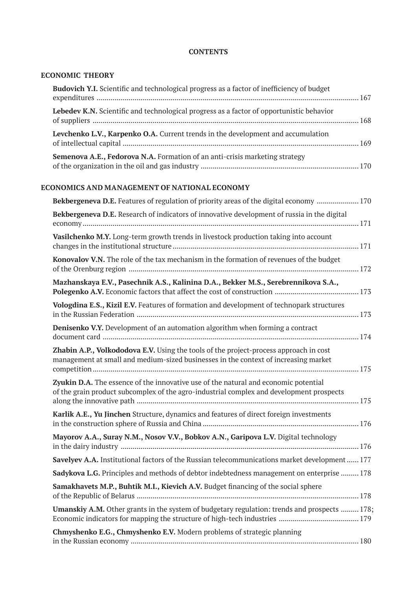## **CONTENTS**

## **ECONOMIC THEORY**

| Budovich Y.I. Scientific and technological progress as a factor of inefficiency of budget                                                                                       |
|---------------------------------------------------------------------------------------------------------------------------------------------------------------------------------|
| Lebedev K.N. Scientific and technological progress as a factor of opportunistic behavior                                                                                        |
| Levchenko L.V., Karpenko O.A. Current trends in the development and accumulation                                                                                                |
| Semenova A.E., Fedorova N.A. Formation of an anti-crisis marketing strategy                                                                                                     |
| ECONOMICS AND MANAGEMENT OF NATIONAL ECONOMY                                                                                                                                    |
| Bekbergeneva D.E. Features of regulation of priority areas of the digital economy  170                                                                                          |
| Bekbergeneva D.E. Research of indicators of innovative development of russia in the digital                                                                                     |
| Vasilchenko M.Y. Long-term growth trends in livestock production taking into account                                                                                            |
| Konovalov V.N. The role of the tax mechanism in the formation of revenues of the budget                                                                                         |
| Mazhanskaya E.V., Pasechnik A.S., Kalinina D.A., Bekker M.S., Serebrennikova S.A.,                                                                                              |
| Vologdina E.S., Kizil E.V. Features of formation and development of technopark structures                                                                                       |
| Denisenko V.Y. Development of an automation algorithm when forming a contract                                                                                                   |
| Zhabin A.P., Volkododova E.V. Using the tools of the project-process approach in cost<br>management at small and medium-sized businesses in the context of increasing market    |
| Zyukin D.A. The essence of the innovative use of the natural and economic potential<br>of the grain product subcomplex of the agro-industrial complex and development prospects |
| Karlik A.E., Yu Jinchen Structure, dynamics and features of direct foreign investments                                                                                          |
| Mayorov A.A., Suray N.M., Nosov V.V., Bobkov A.N., Garipova L.V. Digital technology                                                                                             |

**Savelyev A.A.** Institutional factors of the Russian telecommunications market development...... 177 **Sadykova L.G.** Principles and methods of debtor indebtedness management on enterprise ......... 178 **Samakhavets M.P., Buhtik M.I., Kievich A.V.** Budget financing of the social sphere of the Republic of Belarus ............................................................................................................... 178 **Umanskiy A.M.** Other grants in the system of budgetary regulation: trends and prospects ......... 178; Economic indicators for mapping the structure of high-tech industries ........................................ 179 **Chmyshenko E.G., Chmyshenko E.V.** Modern problems of strategic planning in the Russian economy .................................................................................................................. 180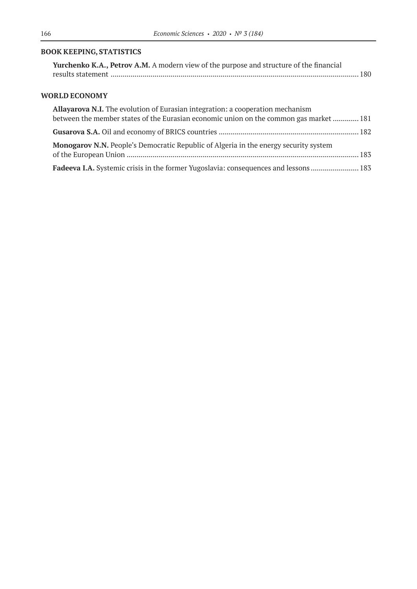# **BOOK KEEPING, STATISTICS**

| Yurchenko K.A., Petrov A.M. A modern view of the purpose and structure of the financial |  |
|-----------------------------------------------------------------------------------------|--|
|                                                                                         |  |

## **WORLD ECONOMY**

| Allayarova N.I. The evolution of Eurasian integration: a cooperation mechanism              |  |
|---------------------------------------------------------------------------------------------|--|
| between the member states of the Eurasian economic union on the common gas market  181      |  |
|                                                                                             |  |
| <b>Monogarov N.N.</b> People's Democratic Republic of Algeria in the energy security system |  |
| Fadeeva I.A. Systemic crisis in the former Yugoslavia: consequences and lessons 183         |  |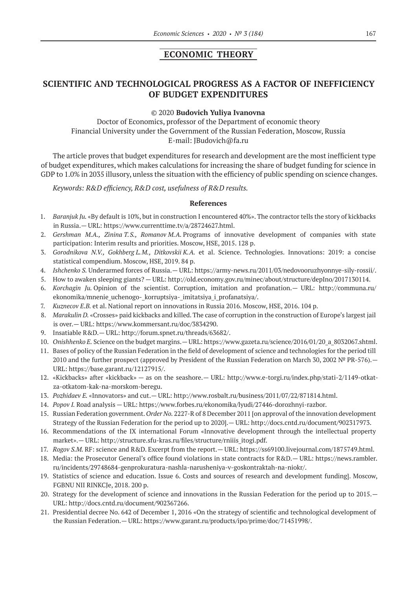# **ECONOMIC THEORY**

# **SCIENTIFIC AND TECHNOLOGICAL PROGRESS AS A FACTOR OF INEFFICIENCY OF BUDGET EXPENDITURES**

## ©© 2020 **Budovich Yuliya Ivanovna**

Doctor of Economics, professor of the Department of economic theory Financial University under the Government of the Russian Federation, Moscow, Russia E-mail: JBudovich@fa.ru

The article proves that budget expenditures for research and development are the most inefficient type of budget expenditures, which makes calculations for increasing the share of budget funding for science in GDP to 1.0% in 2035 illusory, unless the situation with the efficiency of public spending on science changes.

*Keywords: R&D efficiency, R&D cost, usefulness of R&D results.*

- 1. *Baranjuk Ju.* «By default is 10%, but in construction I encountered 40%». The contractor tells the story of kickbacks in Russia.— URL: https://www.currenttime.tv/a/28724627.html.
- 2. *Gershman M.A., Zinina T.S., Romanov M.A.* Programs of innovative development of companies with state participation: Interim results and priorities. Moscow, HSE, 2015. 128 p.
- 3. *Gorodnikova N.V., Gokhberg L.M., Ditkovskii K.A.* et al. Science. Technologies. Innovations: 2019: a concise statistical compendium. Moscow, HSE, 2019. 84 p.
- 4. *Ishchenko S.* Underarmed forces of Russia.— URL: https://army-news.ru/2011/03/nedovooruzhyonnye-sily-rossii/.
- 5. How to awaken sleeping giants? URL: http://old.economy.gov.ru/minec/about/structure/depIno/2017130114.
- 6. *Korchagin Ju.* Opinion of the scientist. Corruption, imitation and profanation.— URL: http://communa.ru/ ekonomika/mnenie\_uchenogo-\_korruptsiya-\_imitatsiya\_i\_profanatsiya/.
- 7. *Kuznecov E.B.* et al. National report on innovations in Russia 2016. Moscow, HSE, 2016. 104 p.
- 8. *Marakulin D.* «Crosses» paid kickbacks and killed. The case of corruption in the construction of Europe's largest jail is over.— URL: https://www.kommersant.ru/doc/3834290.
- 9. Insatiable R&D.— URL: http://forum.spnet.ru/threads/63682/.
- 10. *Onishhenko E.* Science on the budget margins.—URL: https://www.gazeta.ru/science/2016/01/20\_a\_8032067.shtml.
- 11. Bases of policy of the Russian Federation in the field of development of science and technologies for the period till 2010 and the further prospect (approved by President of the Russian Federation on March 30, 2002 № PR-576). URL: https://base.garant.ru/12127915/.
- 12. «Kickbacks» after «kickback» as on the seashore.— URL: http://www.e-torgi.ru/index.php/stati‑2/1149-otkatza-otkatom-kak-na-morskom-beregu.
- 13. *Pozhidaev E.* «Innovators» and cut.— URL: http://www.rosbalt.ru/business/2011/07/22/871814.html.
- 14. *Popov I.* Road analysis URL: https://www.forbes.ru/ekonomika/lyudi/27446-dorozhnyi-razbor.
- 15. Russian Federation government. *Order No.* 2227-R of 8 December 2011 [on approval of the innovation development Strategy of the Russian Federation for the period up to 2020].— URL: http://docs.cntd.ru/document/902317973.
- 16. Recommendations of the IX international Forum «Innovative development through the intellectual property market».— URL: http://structure.sfu-kras.ru/files/structure/rniiis\_itogi.pdf.
- 17. *Rogov S.M.* RF: science and R&D. Excerpt from the report.— URL: https://ss69100.livejournal.com/1875749.html.
- 18. Media: the Prosecutor General's office found violations in state contracts for R&D.— URL: https://news.rambler. ru/incidents/29748684-genprokuratura-nashla-narusheniya-v-goskontraktah-na-niokr/.
- 19. Statistics of science and education. Issue 6. Costs and sources of research and development funding]. Moscow, FGBNU NII RINKCJe, 2018. 200 p.
- 20. Strategy for the development of science and innovations in the Russian Federation for the period up to 2015.— URL: http://docs.cntd.ru/document/902367266.
- 21. Presidential decree No. 642 of December 1, 2016 «On the strategy of scientific and technological development of the Russian Federation.— URL: https://www.garant.ru/products/ipo/prime/doc/71451998/.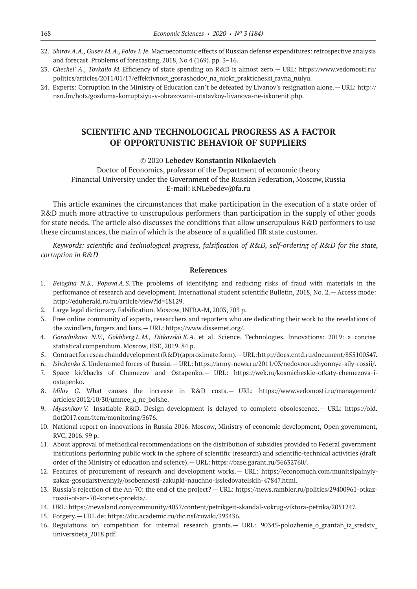- 22. *Shirov A.A., Gusev M.A., Folov I. Je.* Macroeconomic effects of Russian defense expenditures: retrospective analysis and forecast. Problems of forecasting, 2018, No 4 (169). pp. 3–16.
- 23. *Chechel' A., Tovkailo M.* Efficiency of state spending on R&D is almost zero.— URL: https://www.vedomosti.ru/ politics/articles/2011/01/17/effektivnost\_gosrashodov\_na\_niokr\_prakticheski\_ravna\_nulyu.
- 24. Experts: Corruption in the Ministry of Education can't be defeated by Livanov's resignation alone.— URL: http:// nsn.fm/hots/gosduma-korruptsiyu-v-obrazovanii-otstavkoy-livanova-ne-iskorenit.php.

# **SCIENTIFIC AND TECHNOLOGICAL PROGRESS AS A FACTOR OF OPPORTUNISTIC BEHAVIOR OF SUPPLIERS**

## ©© 2020 **Lebedev Konstantin Nikolaevich**

Doctor of Economics, professor of the Department of economic theory Financial University under the Government of the Russian Federation, Moscow, Russia E‑mail: KNLebedev@fa.ru

This article examines the circumstances that make participation in the execution of a state order of R&D much more attractive to unscrupulous performers than participation in the supply of other goods for state needs. The article also discusses the conditions that allow unscrupulous R&D performers to use these circumstances, the main of which is the absence of a qualified IIR state customer.

*Keywords: scientific and technological progress, falsification of R&D, self-ordering of R&D for the state, corruption in R&D*

- 1. *Belogina N.S., Popova A.S.* The problems of identifying and reducing risks of fraud with materials in the performance of research and development. International student scientific Bulletin, 2018, No. 2.— Access mode: http://eduherald.ru/ru/article/view?id=18129.
- 2. Large legal dictionary. Falsification. Moscow, INFRA-M, 2003, 703 p.
- 3. Free online community of experts, researchers and reporters who are dedicating their work to the revelations of the swindlers, forgers and liars.— URL: https://www.dissernet.org/.
- 4. *Gorodnikova N.V., Gokhberg L.M., Ditkovskii K.A.* et al. Science. Technologies. Innovations: 2019: a concise statistical compendium. Moscow, HSE, 2019. 84 p.
- 5. Contract for research and development (R&D) (approximate form).—URL: http://docs.cntd.ru/document/855100547.
- 6. *Ishchenko S.* Underarmed forces of Russia.— URL: https://army-news.ru/2011/03/nedovooruzhyonnye-sily-rossii/.
- 7. Space kickbacks of Chemezov and Ostapenko.— URL: https://wek.ru/kosmicheskie-otkaty-chemezova-iostapenko.
- 8. *Milov G.* What causes the increase in R&D costs.— URL: https://www.vedomosti.ru/management/ articles/2012/10/30/umnee\_a\_ne\_bolshe.
- 9. *Myasnikov V.* Insatiable R&D. Design development is delayed to complete obsolescence.— URL: https://old. flot2017.com/item/monitoring/3676.
- 10. National report on innovations in Russia 2016. Moscow, Ministry of economic development, Open government, RVC, 2016. 99 p.
- 11. About approval of methodical recommendations on the distribution of subsidies provided to Federal government institutions performing public work in the sphere of scientific (research) and scientific-technical activities (draft order of the Ministry of education and science).— URL: https://base.garant.ru/56632760/.
- 12. Features of procurement of research and development works.— URL: https://economuch.com/munitsipalnyiyzakaz-gosudarstvennyiy/osobennosti-zakupki-nauchno-issledovatelskih‑47847.html.
- 13. Russia's rejection of the An-70: the end of the project? URL: https://news.rambler.ru/politics/29400961-otkazrossii-ot-an‑70-konets-proekta/.
- 14. URL: https://newsland.com/community/4057/content/petrikgeit-skandal-vokrug-viktora-petrika/2051247.
- 15. Forgery.— URL de: https://dic.academic.ru/dic.nsf/ruwiki/393436.
- 16. Regulations on competition for internal research grants.— URL: 90345-polozhenie o grantah iz sredstv universiteta\_2018.pdf.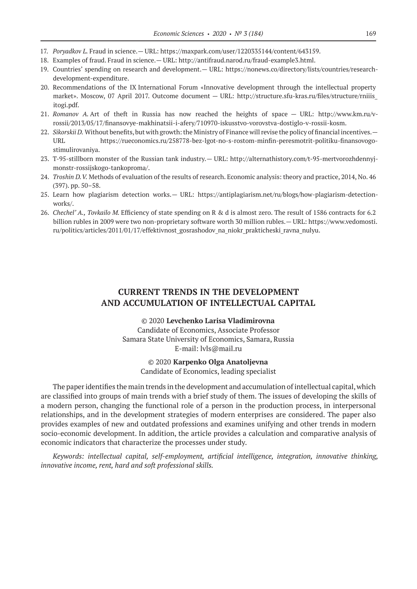- 17. *Poryadkov L.* Fraud in science.— URL: https://maxpark.com/user/1220335144/content/643159.
- 18. Examples of fraud. Fraud in science.— URL: http://antifraud.narod.ru/fraud-example3.html.
- 19. Countries' spending on research and development.— URL: https://nonews.co/directory/lists/countries/researchdevelopment-expenditure.
- 20. Recommendations of the IX International Forum «Innovative development through the intellectual property market». Moscow, 07 April 2017. Outcome document — URL: http://structure.sfu-kras.ru/files/structure/rniiis\_ itogi.pdf.
- 21. *Romanov A.* Art of theft in Russia has now reached the heights of space URL: http://www.km.ru/vrossii/2013/05/17/finansovye-makhinatsii-i-afery/710970-iskusstvo-vorovstva-dostiglo-v-rossii-kosm.
- 22. *Sikorskii D.* Without benefits, but with growth: the Ministry of Finance will revise the policy of financial incentives.— URL https://rueconomics.ru/258778-bez-lgot-no-s-rostom-minfin-peresmotrit-politiku-finansovogostimulirovaniya.
- 23. T‑95-stillborn monster of the Russian tank industry.— URL: http://alternathistory.com/t‑95-mertvorozhdennyjmonstr-rossijskogo-tankoproma/.
- 24. *Troshin D.V.* Methods of evaluation of the results of research. Economic analysis: theory and practice, 2014, No. 46 (397). pp. 50–58.
- 25. Learn how plagiarism detection works.— URL: https://antiplagiarism.net/ru/blogs/how-plagiarism-detectionworks/.
- 26. *Chechel' A., Tovkailo M.* Efficiency of state spending on R & d is almost zero. The result of 1586 contracts for 6.2 billion rubles in 2009 were two non-proprietary software worth 30 million rubles.— URL: https://www.vedomosti. ru/politics/articles/2011/01/17/effektivnost\_gosrashodov\_na\_niokr\_prakticheski\_ravna\_nulyu.

# **CURRENT TRENDS IN THE DEVELOPMENT AND ACCUMULATION OF INTELLECTUAL CAPITAL**

©© 2020 **Levchenko Larisa Vladimirovna** Candidate of Economics, Associate Professor Samara State University of Economics, Samara, Russia E-mail: lvls@mail.ru

> ©© 2020 **Karpenko Olga Anatoljevna** Candidate of Economics, leading specialist

The paper identifies the main trends in the development and accumulation of intellectual capital, which are classified into groups of main trends with a brief study of them. The issues of developing the skills of a modern person, changing the functional role of a person in the production process, in interpersonal relationships, and in the development strategies of modern enterprises are considered. The paper also provides examples of new and outdated professions and examines unifying and other trends in modern socio-economic development. In addition, the article provides a calculation and comparative analysis of economic indicators that characterize the processes under study.

*Keywords: intellectual capital, self-employment, artificial intelligence, integration, innovative thinking, innovative income, rent, hard and soft professional skills.*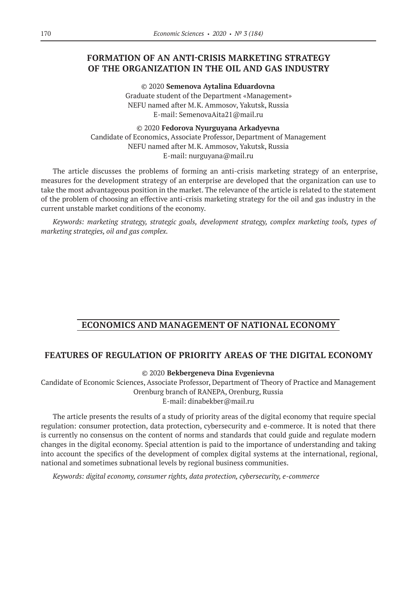# **FORMATION OF AN ANTI-CRISIS MARKETING STRATEGY OF THE ORGANIZATION IN THE OIL AND GAS INDUSTRY**

©© 2020 **Semenova Aytalina Eduardovna** Graduate student of the Department «Management» NEFU named after M.K. Ammosov, Yakutsk, Russia E-mail: SemenovaAita21@mail.ru

©© 2020 **Fedorova Nyurguyana Arkadyevna** Candidate of Economics, Associate Professor, Department of Management NEFU named after M.K. Ammosov, Yakutsk, Russia E-mail: nurguyana@mail.ru

The article discusses the problems of forming an anti-crisis marketing strategy of an enterprise, measures for the development strategy of an enterprise are developed that the organization can use to take the most advantageous position in the market. The relevance of the article is related to the statement of the problem of choosing an effective anti-crisis marketing strategy for the oil and gas industry in the current unstable market conditions of the economy.

*Keywords: marketing strategy, strategic goals, development strategy, complex marketing tools, types of marketing strategies, oil and gas complex.*

# **ECONOMICS AND MANAGEMENT OF NATIONAL ECONOMY**

## **FEATURES OF REGULATION OF PRIORITY AREAS OF THE DIGITAL ECONOMY**

©© 2020 **Bekbergeneva Dina Evgenievna**

Candidate of Economic Sciences, Associate Professor, Department of Theory of Practice and Management Orenburg branch of RANEPA, Orenburg, Russia E‑mail: dinabekber@mail.ru

The article presents the results of a study of priority areas of the digital economy that require special regulation: consumer protection, data protection, cybersecurity and e-commerce. It is noted that there is currently no consensus on the content of norms and standards that could guide and regulate modern changes in the digital economy. Special attention is paid to the importance of understanding and taking into account the specifics of the development of complex digital systems at the international, regional, national and sometimes subnational levels by regional business communities.

*Keywords: digital economy, consumer rights, data protection, cybersecurity, e-commerce*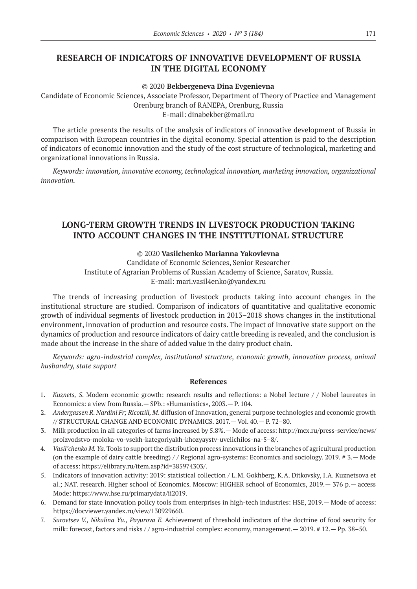# **RESEARCH OF INDICATORS OF INNOVATIVE DEVELOPMENT OF RUSSIA IN THE DIGITAL ECONOMY**

#### ©© 2020 **Bekbergeneva Dina Evgenievna**

Candidate of Economic Sciences, Associate Professor, Department of Theory of Practice and Management Orenburg branch of RANEPA, Orenburg, Russia E‑mail: dinabekber@mail.ru

The article presents the results of the analysis of indicators of innovative development of Russia in comparison with European countries in the digital economy. Special attention is paid to the description of indicators of economic innovation and the study of the cost structure of technological, marketing and organizational innovations in Russia.

*Keywords: innovation, innovative economy, technological innovation, marketing innovation, organizational innovation.*

# **LONG-TERM GROWTH TRENDS IN LIVESTOCK PRODUCTION TAKING INTO ACCOUNT CHANGES IN THE INSTITUTIONAL STRUCTURE**

## ©© 2020 **Vasilchenko Мarianna Yakovlevna**

Сandidate of Economic Sciences, Senior Researcher Institute of Agrarian Problems of Russian Academy of Science, Saratov, Russia. E‑mail: mari.vasil4enko@yandex.ru

The trends of increasing production of livestock products taking into account changes in the institutional structure are studied. Comparison of indicators of quantitative and qualitative economic growth of individual segments of livestock production in 2013–2018 shows changes in the institutional environment, innovation of production and resource costs. The impact of innovative state support on the dynamics of production and resource indicators of dairy cattle breeding is revealed, and the conclusion is made about the increase in the share of added value in the dairy product chain.

*Keywords: agro-industrial complex, institutional structure, economic growth, innovation process, animal husbandry, state support*

- 1. *Kuznets, S*. Modern economic growth: research results and reflections: a Nobel lecture / / Nobel laureates in Economics: a view from Russia.— SPb.: «Humanistics», 2003.— P. 104.
- 2. *Andergassen R. Nardini Fr; Ricottill, M*. diffusion of Innovation, general purpose technologies and economic growth // STRUCTURAL CHANGE AND ECONOMIC DYNAMICS. 2017.— Vol. 40.— P. 72–80.
- 3. Milk production in all categories of farms increased by 5.8%.— Mode of access: http://mcx.ru/press-service/news/ proizvodstvo-moloka-vo-vsekh-kategoriyakh-khozyaystv-uvelichilos-na‑5–8/.
- 4. *Vasil'chenko M. Ya*. Tools to support the distribution process innovations in the branches of agricultural production (on the example of dairy cattle breeding)  $//$  Regional agro-systems: Economics and sociology. 2019. #3.  $-$  Mode of access: https://elibrary.ru/item.asp?id=385974303/.
- 5. Indicators of innovation activity: 2019: statistical collection / L.M. Gokhberg, K.A. Ditkovsky, I.A. Kuznetsova et al.; NAT. research. Higher school of Economics. Moscow: HIGHER school of Economics, 2019.— 376 p.— access Mode: https://www.hse.ru/primarydata/ii2019.
- 6. Demand for state innovation policy tools from enterprises in high-tech industries: HSE, 2019.— Mode of access: https://docviewer.yandex.ru/view/130929660.
- 7. *Surovtsev V., Nikulina Yu., Payurova E.* Achievement of threshold indicators of the doctrine of food security for milk: forecast, factors and risks / / agro-industrial complex: economy, management.— 2019. # 12.— Pp. 38–50.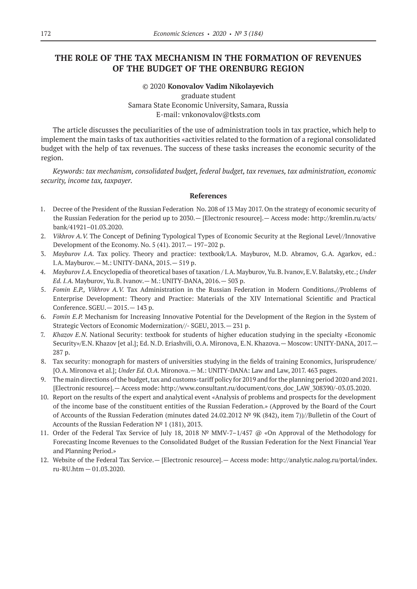# **THE ROLE OF THE TAX MECHANISM IN THE FORMATION OF REVENUES OF THE BUDGET OF THE ORENBURG REGION**

## ©© 2020 **Konovalov Vadim Nikolayevich** graduate student Samara State Economic University, Samara, Russia E‑mail: vnkonovalov@tksts.com

The article discusses the peculiarities of the use of administration tools in tax practice, which help to implement the main tasks of tax authorities «activities related to the formation of a regional consolidated budget with the help of tax revenues. The success of these tasks increases the economic security of the region.

*Keywords: tax mechanism, consolidated budget, federal budget, tax revenues, tax administration, economic security, income tax, taxpayer.*

- 1. Decree of the President of the Russian Federation No. 208 of 13 May 2017. On the strategy of economic security of the Russian Federation for the period up to 2030.— [Electronic resource].— Access mode: http://kremlin.ru/acts/ bank/41921–01.03.2020.
- 2. *Vikhrov A.V.* The Concept of Defining Typological Types of Economic Security at the Regional Level//Innovative Development of the Economy. No. 5 (41). 2017.— 197–202 p.
- 3. *Mayburov I.A.*  Tax policy. Theory and practice: textbook/I.A. Mayburov, M.D. Abramov, G.A. Agarkov, ed.: I.A. Mayburov.— M.: UNITY-DANA, 2015.— 519 p.
- 4. *Mayburov I.A.* Encyclopedia of theoretical bases of taxation / I.A. Mayburov, Yu.B. Ivanov, E.V. Balatsky, etc.; *Under Ed. I.A.* Mayburov, Yu.B. Ivanov.— M.: UNITY-DANA, 2016.— 503 p.
- 5. *Fomin E.P., Vikhrov A.V.*  Tax Administration in the Russian Federation in Modern Conditions.//Problems of Enterprise Development: Theory and Practice: Materials of the XIV International Scientific and Practical Conference. SGEU.— 2015.— 143 p.
- 6. *Fomin E.P.* Mechanism for Increasing Innovative Potential for the Development of the Region in the System of Strategic Vectors of Economic Modernization//- SGEU, 2013.— 231 p.
- 7. *Khazov E.N.* National Security: textbook for students of higher education studying in the specialty «Economic Security»/E.N. Khazov [et al.]; Ed. N.D. Eriashvili, O.A. Mironova, E.N. Khazova.— Moscow: UNITY-DANA, 2017.— 287 p.
- 8. Tax security: monograph for masters of universities studying in the fields of training Economics, Jurisprudence/ [O.A. Mironova et al.]; *Under Ed. O.A.* Mironova.— M.: UNITY-DANA: Law and Law, 2017. 463 pages.
- 9. The main directions of the budget, tax and customs-tariff policy for 2019 and for the planning period 2020 and 2021. [Electronic resource].— Access mode: http://www.consultant.ru/document/cons\_doc\_LAW\_308390/-03.03.2020.
- 10. Report on the results of the expert and analytical event «Analysis of problems and prospects for the development of the income base of the constituent entities of the Russian Federation.» (Approved by the Board of the Court of Accounts of the Russian Federation (minutes dated 24.02.2012 № 9К (842), item 7))//Bulletin of the Court of Accounts of the Russian Federation № 1 (181), 2013.
- 11. Order of the Federal Tax Service of July 18, 2018 № MMV‑7–1/457 @ «On Approval of the Methodology for Forecasting Income Revenues to the Consolidated Budget of the Russian Federation for the Next Financial Year and Planning Period.»
- 12. Website of the Federal Tax Service.— [Electronic resource].— Access mode: http://analytic.nalog.ru/portal/index. ru-RU.htm — 01.03.2020.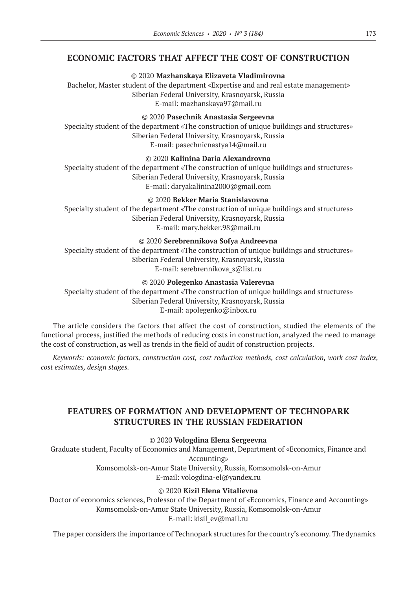## **ECONOMIC FACTORS THAT AFFECT THE COST OF CONSTRUCTION**

©© 2020 **Mazhanskaya Elizaveta Vladimirovna**

Bachelor, Master student of the department «Expertise and and real estate management» Siberian Federal University, Krasnoyarsk, Russia E‑mail: mazhanskaya97@mail.ru

©© 2020 **Pasechnik Anastasia Sergeevna**

Specialty student of the department «The construction of unique buildings and structures» Siberian Federal University, Krasnoyarsk, Russia E‑mail: pasechnicnastya14@mail.ru

©© 2020 **Kalinina Daria Alexandrovna** Specialty student of the department «The construction of unique buildings and structures» Siberian Federal University, Krasnoyarsk, Russia E‑mail: daryakalinina2000@gmail.com

## ©© 2020 **Bekker Maria Stanislavovna**

Specialty student of the department «The construction of unique buildings and structures» Siberian Federal University, Krasnoyarsk, Russia E‑mail: mary.bekker.98@mail.ru

## ©© 2020 **Serebrennikova Sofya Andreevna**

Specialty student of the department «The construction of unique buildings and structures» Siberian Federal University, Krasnoyarsk, Russia E-mail: serebrennikova s@list.ru

## ©© 2020 **Polegenko Anastasia Valerevna**

Specialty student of the department «The construction of unique buildings and structures» Siberian Federal University, Krasnoyarsk, Russia E‑mail: apolegenko@inbox.ru

The article considers the factors that affect the cost of construction, studied the elements of the functional process, justified the methods of reducing costs in construction, analyzed the need to manage the cost of construction, as well as trends in the field of audit of construction projects.

*Keywords: economic factors, construction cost, cost reduction methods, cost calculation, work cost index, cost estimates, design stages.*

# **FEATURES OF FORMATION AND DEVELOPMENT OF TECHNOPARK STRUCTURES IN THE RUSSIAN FEDERATION**

## ©© 2020 **Vologdina Elena Sergeevna**

Graduate student, Faculty of Economics and Management, Department of «Economics, Finance and Accounting» Komsomolsk-on-Amur State University, Russia, Komsomolsk-on-Amur

E‑mail: vologdina-el@yandex.ru

## ©© 2020 **Kizil Elena Vitalievna**

Doctor of economics sciences, Professor of the Department of «Economics, Finance and Accounting» Komsomolsk-on-Amur State University, Russia, Komsomolsk-on-Amur E‑mail: kisil\_ev@mail.ru

The paper considers the importance of Technopark structures for the country's economy. The dynamics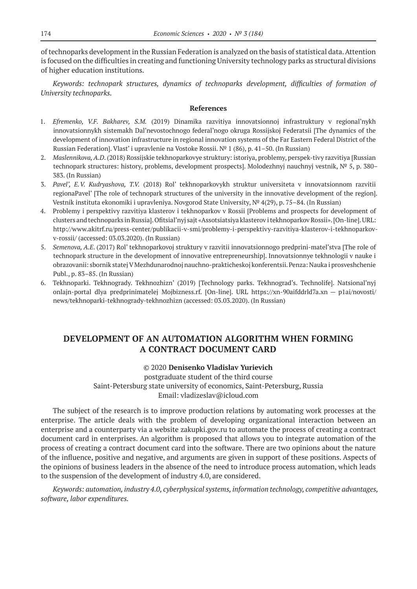of technoparks development in the Russian Federation is analyzed on the basis of statistical data. Attention is focused on the difficulties in creating and functioning University technology parks as structural divisions of higher education institutions.

*Keywords: technopark structures, dynamics of technoparks development, difficulties of formation of University technoparks.*

## **References**

- 1. *Efremenko, V.F. Bakharev, S.M.* (2019) Dinamika razvitiya innovatsionnoj infrastruktury v regional'nykh innovatsionnykh sistemakh Dal'nevostochnogo federal'nogo okruga Rossijskoj Federatsii [The dynamics of the development of innovation infrastructure in regional innovation systems of the Far Eastern Federal District of the Russian Federation]. Vlast' i upravlenie na Vostoke Rossii. № 1 (86), p. 41–50. (In Russian)
- 2. *Maslennikova, A.D*. (2018) Rossijskie tekhnoparkovye struktury: istoriya, problemy, perspek-tivy razvitiya [Russian technopark structures: history, problems, development prospects]. Molodezhnyj nauchnyj vestnik, № 5, p. 380– 383. (In Russian)
- 3. *Pavel', E.V. Kudryashova, T.V.* (2018) Rol' tekhnoparkovykh struktur universiteta v innovatsionnom razvitii regionaPavel' [The role of technopark structures of the university in the innovative development of the region]. Vestnik instituta ekonomiki i upravleniya. Novgorod State University, № 4(29), p. 75–84. (In Russian)
- 4. Problemy i perspektivy razvitiya klasterov i tekhnoparkov v Rossii [Problems and prospects for development of clusters and technoparks in Russia]. Ofitsial'nyj sajt «Assotsiatsiya klasterov i tekhnoparkov Rossii». [On-line]. URL: http://www.akitrf.ru/press-center/publikacii-v-smi/problemy-i-perspektivy-razvitiya-klasterov-i-tekhnoparkovv-rossii/ (accessed: 03.03.2020). (In Russian)
- 5. *Semenova, A.E*. (2017) Rol' tekhnoparkovoj struktury v razvitii innovatsionnogo predprini-matel'stva [The role of technopark structure in the development of innovative entrepreneurship]. Innovatsionnye tekhnologii v nauke i obrazovanii: sbornik statej V Mezhdunarodnoj nauchno-prakticheskoj konferentsii. Penza: Nauka i prosveshchenie Publ., p. 83–85. (In Russian)
- 6. Tekhnoparki. Tekhnogrady. Tekhnozhizn' (2019) [Technology parks. Tekhnograd's. Technolife]. Natsional'nyj onlajn-portal dlya predprinimatelej Mojbizness.rf. [On-line]. URL https://xn‑90aifddrld7a.xn — p1ai/novosti/ news/tekhnoparki-tekhnogrady-tekhnozhizn (accessed: 03.03.2020). (In Russian)

# **DEVELOPMENT OF AN AUTOMATION ALGORITHM WHEN FORMING A CONTRACT DOCUMENT CARD**

## ©© 2020 **Denisenko Vladislav Yurievich**

postgraduate student of the third course Saint-Petersburg state university of economics, Saint-Petersburg, Russia Email: vladizeslav@icloud.com

The subject of the research is to improve production relations by automating work processes at the enterprise. The article deals with the problem of developing organizational interaction between an enterprise and a counterparty via a website zakupki.gov.ru to automate the process of creating a contract document card in enterprises. An algorithm is proposed that allows you to integrate automation of the process of creating a contract document card into the software. There are two opinions about the nature of the influence, positive and negative, and arguments are given in support of these positions. Aspects of the opinions of business leaders in the absence of the need to introduce process automation, which leads to the suspension of the development of industry 4.0, are considered.

*Keywords: automation, industry 4.0, cyberphysical systems, information technology, competitive advantages, software, labor expenditures.*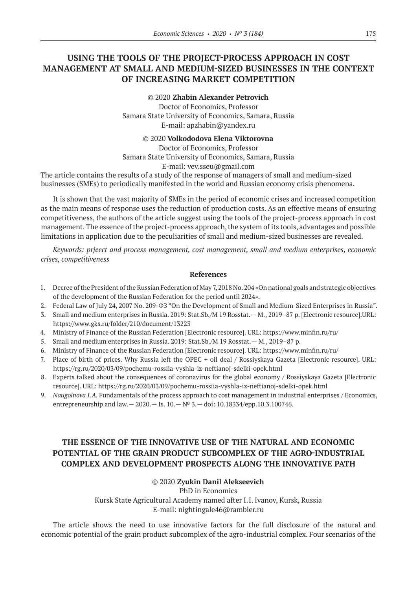# **USING THE TOOLS OF THE PROJECT-PROCESS APPROACH IN COST MANAGEMENT AT SMALL AND MEDIUM-SIZED BUSINESSES IN THE CONTEXT OF INCREASING MARKET COMPETITION**

©© 2020 **Zhabin Alexander Petrovich** Doctor of Economics, Professor Samara State University of Economics, Samara, Russia E‑mail: apzhabin@yandex.ru

©© 2020 **Volkododova Elena Viktorovna**

Doctor of Economics, Professor Samara State University of Economics, Samara, Russia E-mail: vev.sseu@gmail.com

The article contains the results of a study of the response of managers of small and medium-sized businesses (SMEs) to periodically manifested in the world and Russian economy crisis phenomena.

It is shown that the vast majority of SMEs in the period of economic crises and increased competition as the main means of response uses the reduction of production costs. As an effective means of ensuring competitiveness, the authors of the article suggest using the tools of the project-process approach in cost management. The essence of the project-process approach, the system of its tools, advantages and possible limitations in application due to the peculiarities of small and medium-sized businesses are revealed.

*Keywords: prjeect and process management, cost management, small and medium enterprises, economic crises, competitiveness*

#### **References**

- 1. Decree of the President of the Russian Federation of May 7, 2018 No. 204 «On national goals and strategic objectives of the development of the Russian Federation for the period until 2024».
- 2. Federal Law of July 24, 2007 No. 209-ФЗ "On the Development of Small and Medium-Sized Enterprises in Russia".
- 3. Small and medium enterprises in Russia. 2019: Stat.Sb./M 19 Rosstat.— M., 2019–87 p. [Electronic resource].URL: https://www.gks.ru/folder/210/document/13223
- 4. Ministry of Finance of the Russian Federation [Electronic resource]. URL: https://www.minfin.ru/ru/
- 5. Small and medium enterprises in Russia. 2019: Stat.Sb./M 19 Rosstat.— M., 2019–87 p.
- 6. Ministry of Finance of the Russian Federation [Electronic resource]. URL: https://www.minfin.ru/ru/
- 7. Place of birth of prices. Why Russia left the OPEC + oil deal / Rossiyskaya Gazeta [Electronic resource]. URL: https://rg.ru/2020/03/09/pochemu-rossiia-vyshla-iz-neftianoj-sdelki-opek.html
- 8. Experts talked about the consequences of coronavirus for the global economy / Rossiyskaya Gazeta [Electronic resource]. URL: https://rg.ru/2020/03/09/pochemu-rossiia-vyshla-iz-neftianoj-sdelki-opek.html
- 9. *Naugolnova I.A.* Fundamentals of the process approach to cost management in industrial enterprises / Economics, entrepreneurship and law.  $- 2020$ .  $-$  Is.  $10 - N^{\circ}$  3.  $-$  doi: 10.18334/epp.10.3.100746.

# **THE ESSENCE OF THE INNOVATIVE USE OF THE NATURAL AND ECONOMIC POTENTIAL OF THE GRAIN PRODUCT SUBCOMPLEX OF THE AGRO-INDUSTRIAL COMPLEX AND DEVELOPMENT PROSPECTS ALONG THE INNOVATIVE PATH**

## ©© 2020 **Zyukin Danil Alekseevich**

PhD in Economics Kursk State Agricultural Academy named after I.I. Ivanov, Kursk, Russia E‑mail: nightingale46@rambler.ru

The article shows the need to use innovative factors for the full disclosure of the natural and economic potential of the grain product subcomplex of the agro-industrial complex. Four scenarios of the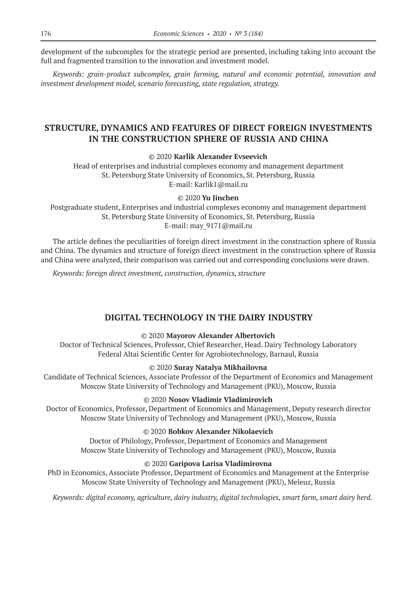development of the subcomplex for the strategic period are presented, including taking into account the full and fragmented transition to the innovation and investment model.

*Keywords: grain-product subcomplex, grain farming, natural and economic potential, innovation and investment development model, scenario forecasting, state regulation, strategy.*

# **STRUCTURE, DYNAMICS AND FEATURES OF DIRECT FOREIGN INVESTMENTS IN THE CONSTRUCTION SPHERE OF RUSSIA AND CHINA**

## ©© 2020 **Karlik Alexander Evseevich**

Head of enterprises and industrial complexes economy and management department St. Petersburg State University of Economics, St. Petersburg, Russia E‑mail: Karlik1@mail.ru

## ©© 2020 **Yu Jinchen**

Postgraduate student, Enterprises and industrial complexes economy and management department St. Petersburg State University of Economics, St. Petersburg, Russia E-mail: may 9171@mail.ru

The article defines the peculiarities of foreign direct investment in the construction sphere of Russia and China. The dynamics and structure of foreign direct investment in the construction sphere of Russia and China were analyzed, their comparison was carried out and corresponding conclusions were drawn.

*Keywords: foreign direct investment, construction, dynamics, structure*

## **DIGITAL TECHNOLOGY IN THE DAIRY INDUSTRY**

## ©© 2020 **Mayorov Alexander Albertovich**

Doctor of Technical Sciences, Professor, Chief Researcher, Head. Dairy Technology Laboratory Federal Altai Scientific Center for Agrobiotechnology, Barnaul, Russia

#### ©© 2020 **Suray Natalya Mikhailovna**

Candidate of Technical Sciences, Associate Professor of the Department of Economics and Management Moscow State University of Technology and Management (PKU), Moscow, Russia

## ©© 2020 **Nosov Vladimir Vladimirovich**

Doctor of Economics, Professor, Department of Economics and Management, Deputy research director Moscow State University of Technology and Management (PKU), Moscow, Russia

## ©© 2020 **Bobkov Alexander Nikolaevich**

Doctor of Philology, Professor, Department of Economics and Management Moscow State University of Technology and Management (PKU), Moscow, Russia

## ©© 2020 **Garipova Larisa Vladimirovna**

PhD in Economics, Associate Professor, Department of Economics and Management at the Enterprise Moscow State University of Technology and Management (PKU), Meleuz, Russia

*Keywords: digital economy, agriculture, dairy industry, digital technologies, smart farm, smart dairy herd.*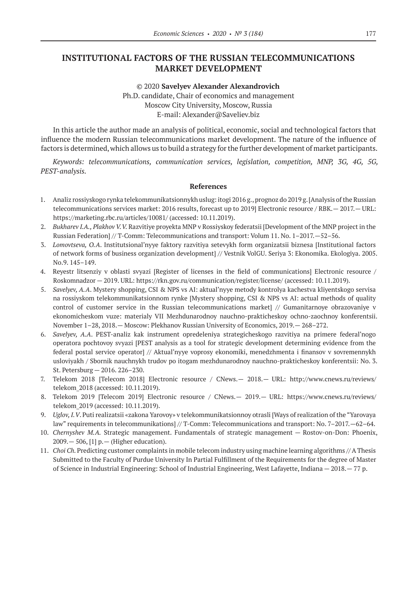# **INSTITUTIONAL FACTORS OF THE RUSSIAN TELECOMMUNICATIONS MARKET DEVELOPMENT**

©© 2020 **Savelyev Alexander Alexandrovich** Ph.D. candidate, Chair of economics and management Moscow City University, Moscow, Russia E‑mail: Alexander@Saveliev.biz

In this article the author made an analysis of political, economic, social and technological factors that influence the modern Russian telecommunications market development. The nature of the influence of factors is determined, which allows us to build a strategy for the further development of market participants.

*Keywords: telecommunications, communication services, legislation, competition, MNP, 3G, 4G, 5G, PEST‑analysis.*

- 1. Analiz rossiyskogo rynka telekommunikatsionnykh uslug: itogi 2016 g., prognoz do 2019 g. [Analysis of the Russian telecommunications services market: 2016 results, forecast up to 2019] Electronic resource / RBK.— 2017.— URL: https://marketing.rbc.ru/articles/10081/ (accessed: 10.11.2019).
- 2. *Bukharev I.A., Plakhov V.V.* Razvitiye proyekta MNP v Rossiyskoy federatsii [Development of the MNP project in the Russian Federation] // T-Comm: Telecommunications and transport: Volum 11. No. 1–2017.—52–56.
- 3. *Lomovtseva, O.A*. Institutsional'nyye faktory razvitiya setevykh form organizatsii biznesa [Institutional factors of network forms of business organization development] // Vestnik VolGU. Seriya 3: Ekonomika. Ekologiya. 2005. No.9. 145–149.
- 4. Reyestr litsenziy v oblasti svyazi [Register of licenses in the field of communications] Electronic resource / Roskomnadzor — 2019. URL: https://rkn.gov.ru/communication/register/license/ (accessed: 10.11.2019).
- 5. *Savelyev, A.A*. Mystery shopping, CSI & NPS vs AI: aktual'nyye metody kontrolya kachestva kliyentskogo servisa na rossiyskom telekommunikatsionnom rynke [Mystery shopping, CSI & NPS vs AI: actual methods of quality control of customer service in the Russian telecommunications market] // Gumanitarnoye obrazovaniye v ekonomicheskom vuze: materialy VII Mezhdunarodnoy nauchno-prakticheskoy ochno-zaochnoy konferentsii. November 1–28, 2018.— Moscow: Plekhanov Russian University of Economics, 2019.— 268–272.
- 6. *Savelyev, A.A*. PEST‑analiz kak instrument opredeleniya strategicheskogo razvitiya na primere federal'nogo operatora pochtovoy svyazi [PEST analysis as a tool for strategic development determining evidence from the federal postal service operator] // Aktual'nyye voprosy ekonomiki, menedzhmenta i finansov v sovremennykh usloviyakh / Sbornik nauchnykh trudov po itogam mezhdunarodnoy nauchno-prakticheskoy konferentsii: No. 3. St. Petersburg — 2016. 226–230.
- 7. Telekom 2018 [Telecom 2018] Electronic resource / CNews.— 2018.— URL: http://www.cnews.ru/reviews/ telekom\_2018 (accessed: 10.11.2019).
- 8. Telekom 2019 [Telecom 2019] Electronic resource / CNews.— 2019.— URL: https://www.cnews.ru/reviews/ telekom\_2019 (accessed: 10.11.2019).
- 9. *Uglov, I.V*. Puti realizatsii «zakona Yarovoy» v telekommunikatsionnoy otrasli [Ways of realization of the "Yarovaya law" requirements in telecommunikations] // T-Comm: Telecommunications and transport: No. 7–2017.—62–64.
- 10. *Chernyshev M.A.*  Strategic management. Fundamentals of strategic management Rostov-on-Don: Phoenix,  $2009. - 506$ , [1] p. - (Higher education).
- 11. *Choi Ch.* Predicting customer complaints in mobile telecom industry using machine learning algorithms // A Thesis Submitted to the Faculty of Purdue University In Partial Fulfillment of the Requirements for the degree of Master of Science in Industrial Engineering: School of Industrial Engineering, West Lafayette, Indiana — 2018.— 77 p.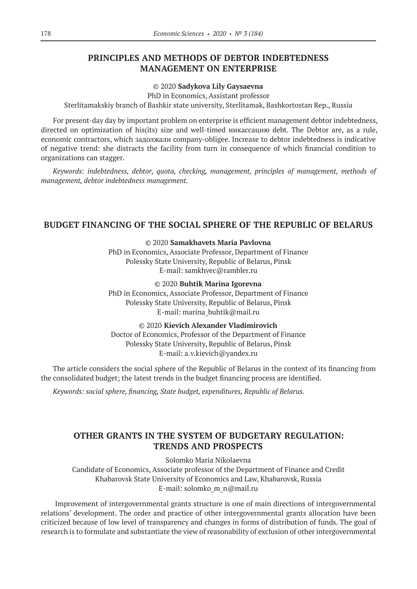# **PRINCIPLES AND METHODS OF DEBTOR INDEBTEDNESS MANAGEMENT ON ENTERPRISE**

## ©© 2020 **Sadykova Lily Gaysaevna**

PhD in Economics, Assistant professor

Sterlitamakskiy branch of Bashkir state university, Sterlitamak, Bashkortostan Rep., Russia

For present-day day by important problem on enterprise is efficient management debtor indebtedness, directed on optimization of his(its) size and well-timed инкассацию debt. The Debtor are, as a rule, economic contractors, which задолжали company-obligee. Increase to debtor indebtedness is indicative of negative trend: she distracts the facility from turn in consequence of which financial condition to organizations can stagger.

*Keywords: indebtedness, debtor, quota, checking, management, principles of management, methods of management, debtor indebtedness management.*

# **BUDGET FINANCING OF THE SOCIAL SPHERE OF THE REPUBLIC OF BELARUS**

©© 2020 **Samakhavets Maria Pavlovna**

PhD in Economics, Associate Professor, Department of Finance Polessky State University, Republic of Belarus, Pinsk E‑mail: samkhvec@rambler.ru

©© 2020 **Buhtik Marina Igorevna**

PhD in Economics, Associate Professor, Department of Finance Polessky State University, Republic of Belarus, Pinsk E‑mail: marina\_buhtik@mail.ru

©© 2020 **Kievich Alexander Vladimirovich** Doctor of Economics, Professor of the Department of Finance Polessky State University, Republic of Belarus, Pinsk E‑mail: a.v.kievich@yandex.ru

The article considers the social sphere of the Republic of Belarus in the context of its financing from the consolidated budget; the latest trends in the budget financing process are identified.

*Keywords: social sphere, financing, State budget, expenditures, Republic of Belarus.*

# **OTHER GRANTS IN THE SYSTEM OF BUDGETARY REGULATION: TRENDS AND PROSPECTS**

Solomko Maria Nikolaevna Candidate of Economics, Associate professor of the Department of Finance and Credit Khabarovsk State University of Economics and Law, Khabarovsk, Russia E-mail: solomko m n@mail.ru

 Improvement of intergovernmental grants structure is one of main directions of intergovernmental relations' development. The order and practice of other intergovernmental grants allocation have been criticized because of low level of transparency and changes in forms of distribution of funds. The goal of research is to formulate and substantiate the view of reasonability of exclusion of other intergovernmental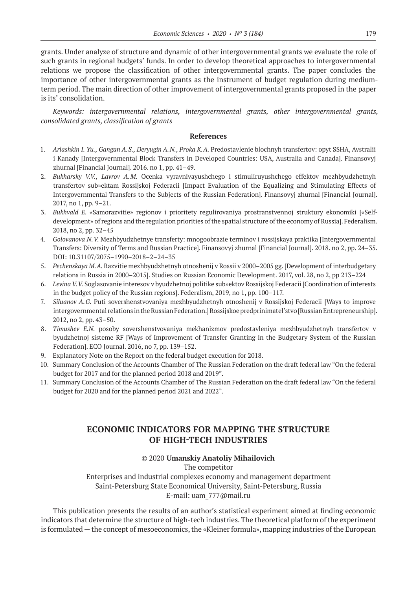grants. Under analyze of structure and dynamic of other intergovernmental grants we evaluate the role of such grants in regional budgets' funds. In order to develop theoretical approaches to intergovernmental relations we propose the classification of other intergovernmental grants. The paper concludes the importance of other intergovernmental grants as the instrument of budget regulation during mediumterm period. The main direction of other improvement of intergovernmental grants proposed in the paper is its' consolidation.

*Keywords: intergovernmental relations, intergovernmental grants, other intergovernmental grants, consolidated grants, classification of grants*

## **References**

- 1. *Arlashkin I. Yu., Gangan A.S., Deryugin A.N., Proka K.A. Predostavlenie blochnyh transfertov: opyt SSHA, Avstralii* i Kanady [Intergovernmental Block Transfers in Developed Countries: USA, Australia and Canada]. Finansovyj zhurnal [Financial Journal]. 2016. no 1, pp. 41–49.
- 2. *Bukharsky V.V., Lavrov A.M.*  Ocenka vyravnivayushchego i stimuliruyushchego effektov mezhbyudzhetnyh transfertov sub»ektam Rossijskoj Federacii [Impact Evaluation of the Equalizing and Stimulating Effects of Intergovernmental Transfers to the Subjects of the Russian Federation]. Finansovyj zhurnal [Financial Journal]. 2017, no 1, pp. 9–21.
- 3. *Bukhvald E.* «Samorazvitie» regionov i prioritety regulirovaniya prostranstvennoj struktury ekonomiki [«Selfdevelopment» of regions and the regulation priorities of the spatial structure of the economy of Russia]. Federalism. 2018, no 2, pp. 32–45
- 4. *Golovanova N.V.* Mezhbyudzhetnye transferty: mnogoobrazie terminov i rossijskaya praktika [Intergovernmental Transfers: Diversity of Terms and Russian Practice]. Finansovyj zhurnal [Financial Journal]. 2018. no 2, pp. 24–35. DOI: 10.31107/2075–1990–2018–2–24–35
- 5. *Pechenskaya M.A.* Razvitie mezhbyudzhetnyh otnoshenij v Rossii v 2000–2005 gg. [Development of interbudgetary relations in Russia in 2000–2015]. Studies on Russian Economic Development. 2017, vol. 28, no 2, pp 213–224
- 6. *Levina V.V.* Soglasovanie interesov v byudzhetnoj politike sub»ektov Rossijskoj Federacii [Coordination of interests in the budget policy of the Russian regions]. Federalism, 2019, no 1, pp. 100–117.
- 7. *Siluanov A.G.* Puti sovershenstvovaniya mezhbyudzhetnyh otnoshenij v Rossijskoj Federacii [Ways to improve intergovernmental relations in the Russian Federation.] Rossijskoe predprinimatel'stvo [Russian Entrepreneurship]. 2012, no 2, pp. 43–50.
- 8. *Timushev E.N.* posoby sovershenstvovaniya mekhanizmov predostavleniya mezhbyudzhetnyh transfertov v byudzhetnoj sisteme RF [Ways of Improvement of Transfer Granting in the Budgetary System of the Russian Federation]. ECO Journal. 2016, no 7, pp. 139–152.
- 9. Explanatory Note on the Report on the federal budget execution for 2018.
- 10. Summary Conclusion of the Accounts Chamber of The Russian Federation on the draft federal law "On the federal budget for 2017 and for the planned period 2018 and 2019".
- 11. Summary Conclusion of the Accounts Chamber of The Russian Federation on the draft federal law "On the federal budget for 2020 and for the planned period 2021 and 2022".

# **ECONOMIC INDICATORS FOR MAPPING THE STRUCTURE OF HIGH-TECH INDUSTRIES**

## ©© 2020 **Umanskiy Anatoliy Mihailovich**

The competitor

Enterprises and industrial complexes economy and management department Saint-Petersburg State Economical University, Saint-Petersburg, Russia E‑mail: uam\_777@mail.ru

This publication presents the results of an author's statistical experiment aimed at finding economic indicators that determine the structure of high-tech industries. The theoretical platform of the experiment is formulated—the concept of mesoeconomics, the «Kleiner formula», mapping industries of the European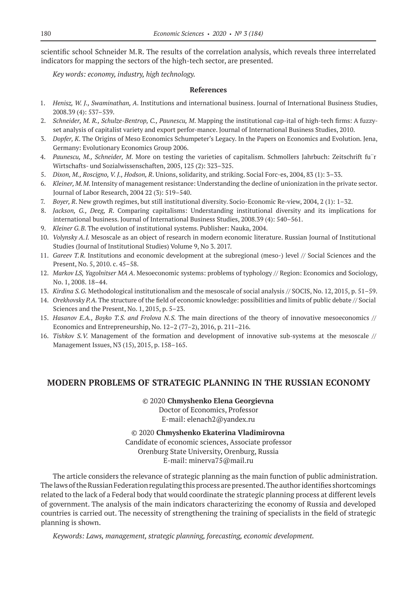scientific school Schneider M.R. The results of the correlation analysis, which reveals three interrelated indicators for mapping the sectors of the high-tech sector, are presented.

*Key words: economy, industry, high technology.*

#### **References**

- 1. *Henisz, W. J., Swaminathan, A*. Institutions and international business. Journal of International Business Studies, 2008.39 (4): 537–539.
- 2. *Schneider, M. R., Schulze-Bentrop, C., Paunescu, M*. Mapping the institutional cap-ital of high-tech firms: A fuzzyset analysis of capitalist variety and export perfor-mance. Journal of International Business Studies, 2010.
- 3. *Dopfer, K*. The Origins of Meso Economics Schumpeter's Legacy. In the Papers on Economics and Evolution. Jena, Germany: Evolutionary Economics Group 2006.
- 4. *Paunescu, M., Schneider, M*. More on testing the varieties of capitalism. Schmollers Jahrbuch: Zeitschrift fu¨r Wirtschafts- und Sozialwissenschaften, 2005, 125 (2): 323–325.
- 5. *Dixon, M., Roscigno, V. J., Hodson, R*. Unions, solidarity, and striking. Social Forc-es, 2004, 83 (1): 3–33.
- 6. *Kleiner, M.M*. Intensity of management resistance: Understanding the decline of unionization in the private sector. Journal of Labor Research, 2004 22 (3): 519–540.
- 7. *Boyer, R*. New growth regimes, but still institutional diversity. Socio-Economic Re-view, 2004, 2 (1): 1–32.
- 8. *Jackson, G., Deeg, R*. Comparing capitalisms: Understanding institutional diversity and its implications for international business. Journal of International Business Studies, 2008.39 (4): 540–561.
- 9. *Kleiner G.B.* The evolution of institutional systems. Publisher: Nauka, 2004.
- 10. *Volynsky A.I.* Mesoscale as an object of research in modern economic literature. Russian Journal of Institutional Studies (Journal of Institutional Studies) Volume 9, No 3. 2017.
- 11. *Gareev T.R.* Institutions and economic development at the subregional (meso-) level // Social Sciences and the Present, No. 5, 2010. c. 45–58.
- 12. *Markov LS, Yagolnitser MA A*. Mesoeconomic systems: problems of typhology // Region: Economics and Sociology, No. 1, 2008. 18–44.
- 13. *Kirdina S.G.* Methodological institutionalism and the mesoscale of social analysis // SOCIS, No. 12, 2015, p. 51–59.
- 14. *Orekhovsky P.A.* The structure of the field of economic knowledge: possibilities and limits of public debate // Social Sciences and the Present, No. 1, 2015, p. 5–23.
- 15. *Hasanov E.A., Boyko T.S. and Frolova N.S.*  The main directions of the theory of innovative mesoeconomics // Economics and Entrepreneurship, No. 12–2 (77–2), 2016, p. 211–216.
- 16. *Tishkov S.V.*  Management of the formation and development of innovative sub-systems at the mesoscale // Management Issues, N3 (15), 2015, p. 158–165.

## **MODERN PROBLEMS OF STRATEGIC PLANNING IN THE RUSSIAN ECONOMY**

©© 2020 **Chmyshenko Elena Georgievna**

Doctor of Economics, Professor E‑mail: elenach2@yandex.ru

©© 2020 **Chmyshenko Ekaterina Vladimirovna** Candidate of economic sciences, Associate professor Orenburg State University, Orenburg, Russia E-mail: minerva75@mail.ru

The article considers the relevance of strategic planning as the main function of public administration. The laws of the Russian Federation regulating this process are presented. The author identifies shortcomings related to the lack of a Federal body that would coordinate the strategic planning process at different levels of government. The analysis of the main indicators characterizing the economy of Russia and developed countries is carried out. The necessity of strengthening the training of specialists in the field of strategic planning is shown.

*Кeywords: Laws, management, strategic planning, forecasting, economic development.*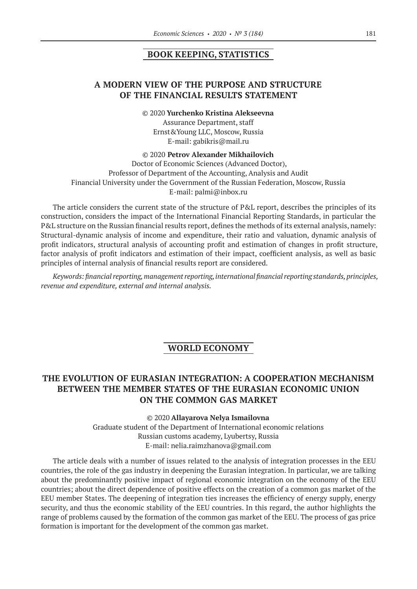## **BOOK KEEPING, STATISTICS**

# **A MODERN VIEW OF THE PURPOSE AND STRUCTURE OF THE FINANCIAL RESULTS STATEMENT**

#### ©© 2020 **Yurchenko Kristina Alekseevna**

Assurance Department, staff Ernst&Young LLC, Moscow, Russia E‑mail: gabikris@mail.ru

©© 2020 **Petrov Alexander Mikhailovich**

Doctor of Economic Sciences (Advanced Doctor), Professor of Department of the Accounting, Analysis and Audit Financial University under the Government of the Russian Federation, Moscow, Russia E‑mail: palmi@inbox.ru

The article considers the current state of the structure of P&L report, describes the principles of its construction, considers the impact of the International Financial Reporting Standards, in particular the P&L structure on the Russian financial results report, defines the methods of its external analysis, namely: Structural-dynamic analysis of income and expenditure, their ratio and valuation, dynamic analysis of profit indicators, structural analysis of accounting profit and estimation of changes in profit structure, factor analysis of profit indicators and estimation of their impact, coefficient analysis, as well as basic principles of internal analysis of financial results report are considered.

*Keywords: financial reporting, management reporting, international financial reporting standards, principles, revenue and expenditure, external and internal analysis.*

## **WORLD ECONOMY**

# **THE EVOLUTION OF EURASIAN INTEGRATION: A COOPERATION MECHANISM BETWEEN THE MEMBER STATES OF THE EURASIAN ECONOMIC UNION ON THE COMMON GAS MARKET**

©© 2020 **Allayarova Nelya Ismailovna** Graduate student of the Department of International economic relations Russian customs academy, Lyubertsy, Russia E-mail: nelia.raimzhanova@gmail.com

The article deals with a number of issues related to the analysis of integration processes in the EEU countries, the role of the gas industry in deepening the Eurasian integration. In particular, we are talking about the predominantly positive impact of regional economic integration on the economy of the EEU countries; about the direct dependence of positive effects on the creation of a common gas market of the EEU member States. The deepening of integration ties increases the efficiency of energy supply, energy security, and thus the economic stability of the EEU countries. In this regard, the author highlights the range of problems caused by the formation of the common gas market of the EEU. The process of gas price formation is important for the development of the common gas market.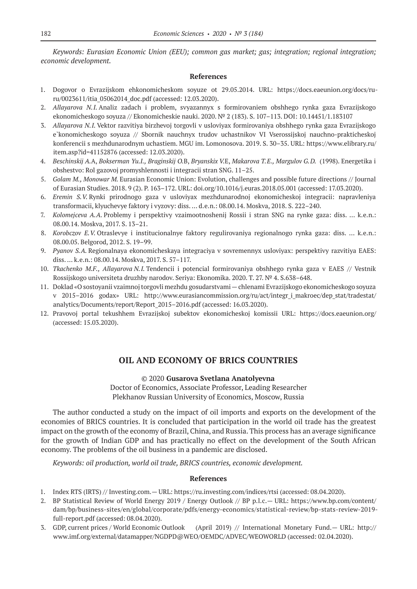*Keywords: Eurasian Economic Union (EEU); common gas market; gas; integration; regional integration; economic development.*

## **References**

- 1. Dogovor o Evrazijskom ehkonomicheskom soyuze ot 29.05.2014. URL: https://docs.eaeunion.org/docs/ruru/0023611/itia\_05062014\_doc.pdf (accessed: 12.03.2020).
- 2. *Allayarova N.I.* Analiz zadach i problem, svyazannyx s formirovaniem obshhego rynka gaza Evrazijskogo ekonomicheskogo soyuza // Ekonomicheskie nauki. 2020. № 2 (183). S. 107–113. DOI: 10.14451/1.183107
- 3. *Allayarova N.I.* Vektor razvitiya birzhevoj torgovli v usloviyax formirovaniya obshhego rynka gaza Evrazijskogo e`konomicheskogo soyuza // Sbornik nauchnyx trudov uchastnikov VI Vserossijskoj nauchno-prakticheskoj konferencii s mezhdunarodnym uchastiem. MGU im. Lomonosova. 2019. S. 30–35. URL: https://www.elibrary.ru/ item.asp?id=41152876 (accessed: 12.03.2020).
- 4. *Beschinskij A.*A, *Bokserman Yu.I., Braginskij O.*B, *Bryanskix V.*E, *Makarova T.E., Margulov G.D.* (1998). Energetika i obshestvo: Rol gazovoj promyshlennosti i integracii stran SNG. 11–25.
- 5. *Golam M., Monowar M.* Eurasian Economic Union: Evolution, challenges and possible future directions // Journal of Eurasian Studies. 2018. 9 (2). P. 163–172. URL: doi.org/10.1016/j.euras.2018.05.001 (accessed: 17.03.2020).
- 6. *Eremin S.V.* Rynki prirodnogo gaza v usloviyax mezhdunarodnoj ekonomicheskoj integracii: napravleniya transformacii, klyuchevye faktory i vyzovy: diss. … d.e.n.: 08.00.14. Moskva, 2018. S. 222–240.
- 7. *Kolomejceva A.A.* Problemy i perspektivy vzaimootnoshenij Rossii i stran SNG na rynke gaza: diss. … k.e.n.: 08.00.14. Moskva, 2017. S. 13–21.
- 8. *Korobczov E.V.* Otraslevye i institucionalnye faktory regulirovaniya regionalnogo rynka gaza: diss. … k.e.n.: 08.00.05. Belgorod, 2012. S. 19–99.
- 9. *Pyanov S.A.* Regionalnaya ekonomicheskaya integraciya v sovremennyx usloviyax: perspektivy razvitiya EAES: diss. … k.e.n.: 08.00.14. Moskva, 2017. S. 57–117.
- 10. *Tkachenko M.F., Allayarova N.I.* Tendencii i potencial formirovaniya obshhego rynka gaza v EAES // Vestnik Rossijskogo universiteta druzhby narodov. Seriya: Ekonomika. 2020. T. 27. № 4. S.638–648.
- 11. Doklad «O sostoyanii vzaimnoj torgovli mezhdu gosudarstvami chlenami Evrazijskogo ekonomicheskogo soyuza v 2015–2016 godax» URL: http://www.eurasiancommission.org/ru/act/integr\_i\_makroec/dep\_stat/tradestat/ analytics/Documents/report/Report\_2015–2016.pdf (accessed: 16.03.2020).
- 12. Pravovoj portal tekushhem Evrazijskoj subektov ekonomicheskoj komissii URL: https://docs.eaeunion.org/ (accessed: 15.03.2020).

# **OIL AND ECONOMY OF BRICS COUNTRIES**

©© 2020 **Gusarova Svetlana Anatolyevna**

Doctor of Economics, Associate Professor, Leading Researcher Plekhanov Russian University of Economics, Moscow, Russia

The author conducted a study on the impact of oil imports and exports on the development of the economies of BRICS countries. It is concluded that participation in the world oil trade has the greatest impact on the growth of the economy of Brazil, China, and Russia. This process has an average significance for the growth of Indian GDP and has practically no effect on the development of the South African economy. The problems of the oil business in a pandemic are disclosed.

*Keywords: oil production, world oil trade, BRICS countries, economic development.*

- 1. Index RTS (IRTS) // Investing.com.— URL: https://ru.investing.com/indices/rtsi (accessed: 08.04.2020).
- 2. BP Statistical Review of World Energy 2019 / Energy Outlook // BP p.l.c.— URL: https://www.bp.com/content/ dam/bp/business-sites/en/global/corporate/pdfs/energy-economics/statistical-review/bp-stats-review‑2019 full-report.pdf (accessed: 08.04.2020).
- 3. GDP, current prices / World Economic Outlook (April 2019) // International Monetary Fund.— URL: http:// www.imf.org/external/datamapper/NGDPD@WEO/OEMDC/ADVEC/WEOWORLD (accessed: 02.04.2020).